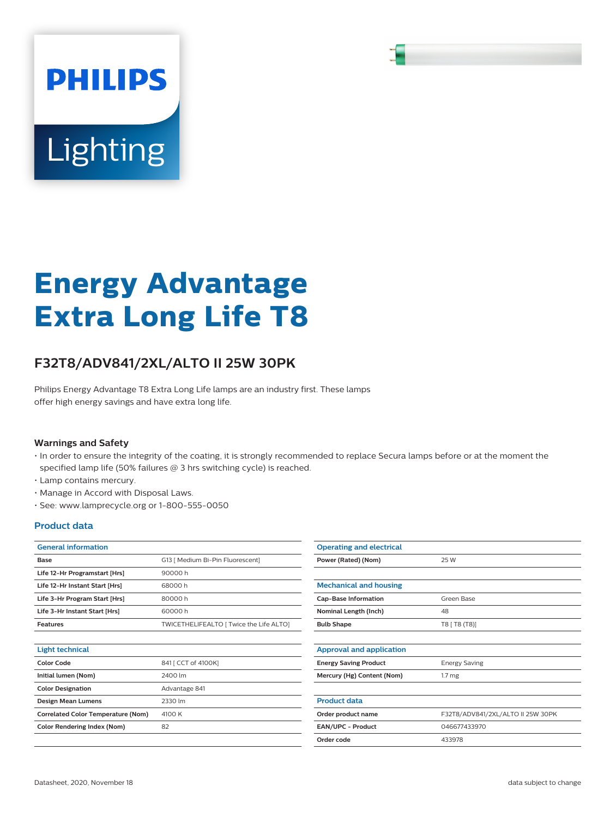# **PHILIPS** Lighting

# **Energy Advantage Extra Long Life T8**

## **F32T8/ADV841/2XL/ALTO II 25W 30PK**

Philips Energy Advantage T8 Extra Long Life lamps are an industry first. These lamps offer high energy savings and have extra long life.

#### **Warnings and Safety**

- In order to ensure the integrity of the coating, it is strongly recommended to replace Secura lamps before or at the moment the specified lamp life (50% failures @ 3 hrs switching cycle) is reached.
- Lamp contains mercury.
- Manage in Accord with Disposal Laws.
- See: www.lamprecycle.org or 1-800-555-0050

#### **Product data**

| <b>General information</b>     |                                         |  |
|--------------------------------|-----------------------------------------|--|
| <b>Base</b>                    | G13   Medium Bi-Pin Fluorescent]        |  |
| Life 12-Hr Programstart [Hrs]  | 90000 h                                 |  |
| Life 12-Hr Instant Start [Hrs] | 68000 h                                 |  |
| Life 3-Hr Program Start [Hrs]  | 80000 h                                 |  |
| Life 3-Hr Instant Start [Hrs]  | 60000 h                                 |  |
| <b>Features</b>                | TWICETHELIFEALTO   Twice the Life ALTO] |  |
|                                |                                         |  |

| Light technical                           |                     |
|-------------------------------------------|---------------------|
| Color Code                                | 841 [ CCT of 4100K] |
| Initial lumen (Nom)                       | 2400 lm             |
| <b>Color Designation</b>                  | Advantage 841       |
| <b>Design Mean Lumens</b>                 | 2330 lm             |
| <b>Correlated Color Temperature (Nom)</b> | 4100 K              |
| <b>Color Rendering Index (Nom)</b>        | 82                  |
|                                           |                     |

| <b>Operating and electrical</b> |                                   |  |
|---------------------------------|-----------------------------------|--|
| Power (Rated) (Nom)             | 25 W                              |  |
|                                 |                                   |  |
| <b>Mechanical and housing</b>   |                                   |  |
| <b>Cap-Base Information</b>     | Green Base                        |  |
| Nominal Length (Inch)           | 48                                |  |
| <b>Bulb Shape</b>               | T8 [ T8 (T8)]                     |  |
|                                 |                                   |  |
| Approval and application        |                                   |  |
| <b>Energy Saving Product</b>    | <b>Energy Saving</b>              |  |
| Mercury (Hg) Content (Nom)      | 1.7 <sub>mg</sub>                 |  |
|                                 |                                   |  |
| <b>Product data</b>             |                                   |  |
| Order product name              | F32T8/ADV841/2XL/ALTO II 25W 30PK |  |
| <b>EAN/UPC - Product</b>        | 046677433970                      |  |
| Order code                      | 433978                            |  |